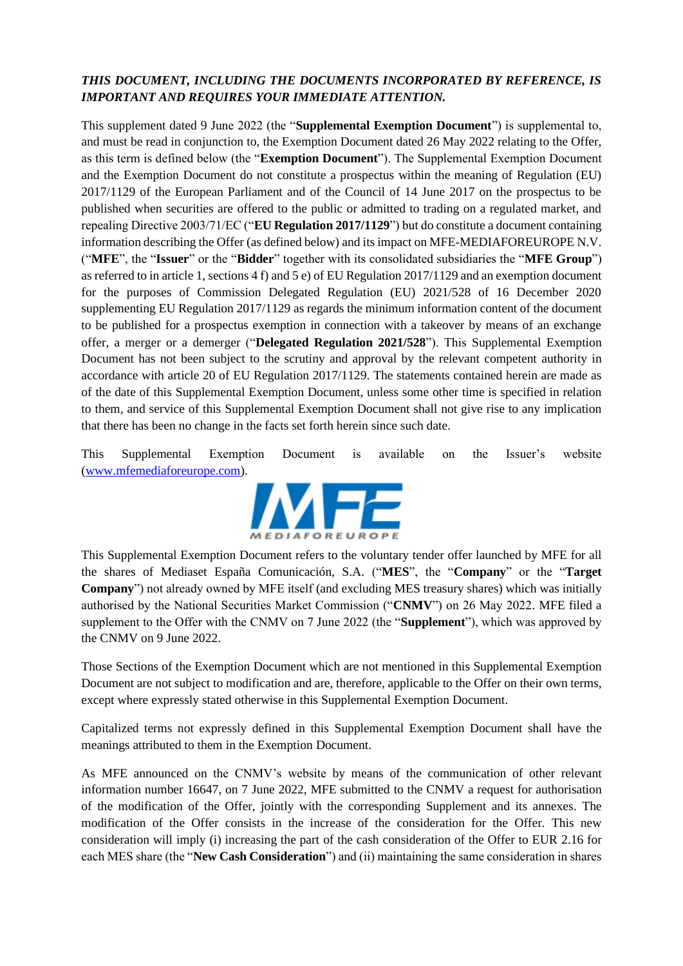# *THIS DOCUMENT, INCLUDING THE DOCUMENTS INCORPORATED BY REFERENCE, IS IMPORTANT AND REQUIRES YOUR IMMEDIATE ATTENTION.*

This supplement dated 9 June 2022 (the "**Supplemental Exemption Document**") is supplemental to, and must be read in conjunction to, the Exemption Document dated 26 May 2022 relating to the Offer, as this term is defined below (the "**Exemption Document**"). The Supplemental Exemption Document and the Exemption Document do not constitute a prospectus within the meaning of Regulation (EU) 2017/1129 of the European Parliament and of the Council of 14 June 2017 on the prospectus to be published when securities are offered to the public or admitted to trading on a regulated market, and repealing Directive 2003/71/EC ("**EU Regulation 2017/1129**") but do constitute a document containing information describing the Offer (as defined below) and its impact on MFE-MEDIAFOREUROPE N.V. ("**MFE**", the "**Issuer**" or the "**Bidder**" together with its consolidated subsidiaries the "**MFE Group**") as referred to in article 1, sections 4 f) and 5 e) of EU Regulation 2017/1129 and an exemption document for the purposes of Commission Delegated Regulation (EU) 2021/528 of 16 December 2020 supplementing EU Regulation 2017/1129 as regards the minimum information content of the document to be published for a prospectus exemption in connection with a takeover by means of an exchange offer, a merger or a demerger ("**Delegated Regulation 2021/528**"). This Supplemental Exemption Document has not been subject to the scrutiny and approval by the relevant competent authority in accordance with article 20 of EU Regulation 2017/1129. The statements contained herein are made as of the date of this Supplemental Exemption Document, unless some other time is specified in relation to them, and service of this Supplemental Exemption Document shall not give rise to any implication that there has been no change in the facts set forth herein since such date.

This Supplemental Exemption Document is available on the Issuer's website [\(www.mfemediaforeurope.com\)](http://www.mfemediaforeurope.com/).



This Supplemental Exemption Document refers to the voluntary tender offer launched by MFE for all the shares of Mediaset España Comunicación, S.A. ("**MES**", the "**Company**" or the "**Target Company**") not already owned by MFE itself (and excluding MES treasury shares) which was initially authorised by the National Securities Market Commission ("**CNMV**") on 26 May 2022. MFE filed a supplement to the Offer with the CNMV on 7 June 2022 (the "**Supplement**"), which was approved by the CNMV on 9 June 2022.

Those Sections of the Exemption Document which are not mentioned in this Supplemental Exemption Document are not subject to modification and are, therefore, applicable to the Offer on their own terms, except where expressly stated otherwise in this Supplemental Exemption Document.

Capitalized terms not expressly defined in this Supplemental Exemption Document shall have the meanings attributed to them in the Exemption Document.

As MFE announced on the CNMV's website by means of the communication of other relevant information number 16647, on 7 June 2022, MFE submitted to the CNMV a request for authorisation of the modification of the Offer, jointly with the corresponding Supplement and its annexes. The modification of the Offer consists in the increase of the consideration for the Offer. This new consideration will imply (i) increasing the part of the cash consideration of the Offer to EUR 2.16 for each MES share (the "**New Cash Consideration**") and (ii) maintaining the same consideration in shares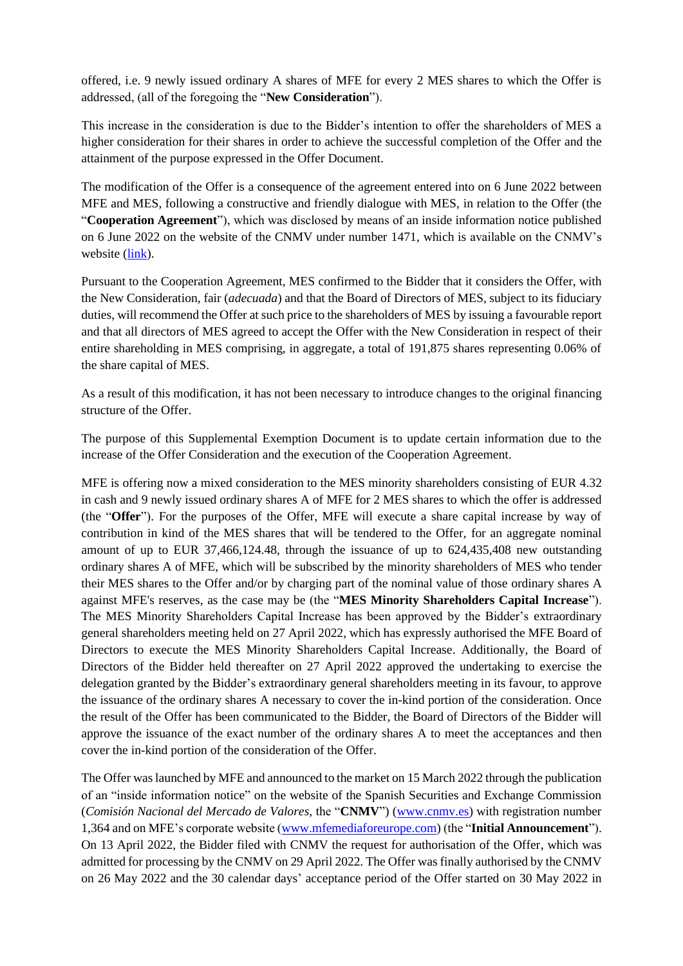offered, i.e. 9 newly issued ordinary A shares of MFE for every 2 MES shares to which the Offer is addressed, (all of the foregoing the "**New Consideration**").

This increase in the consideration is due to the Bidder's intention to offer the shareholders of MES a higher consideration for their shares in order to achieve the successful completion of the Offer and the attainment of the purpose expressed in the Offer Document.

The modification of the Offer is a consequence of the agreement entered into on 6 June 2022 between MFE and MES, following a constructive and friendly dialogue with MES, in relation to the Offer (the "**Cooperation Agreement**"), which was disclosed by means of an inside information notice published on 6 June 2022 on the website of the CNMV under number 1471, which is available on the CNMV's website [\(link\)](https://www.cnmv.es/portal/verDoc.axd?t=%7b3ea31e74-32c6-4c96-98d2-2107bc8afea8%7d).

Pursuant to the Cooperation Agreement, MES confirmed to the Bidder that it considers the Offer, with the New Consideration, fair (*adecuada*) and that the Board of Directors of MES, subject to its fiduciary duties, will recommend the Offer at such price to the shareholders of MES by issuing a favourable report and that all directors of MES agreed to accept the Offer with the New Consideration in respect of their entire shareholding in MES comprising, in aggregate, a total of 191,875 shares representing 0.06% of the share capital of MES.

As a result of this modification, it has not been necessary to introduce changes to the original financing structure of the Offer.

The purpose of this Supplemental Exemption Document is to update certain information due to the increase of the Offer Consideration and the execution of the Cooperation Agreement.

MFE is offering now a mixed consideration to the MES minority shareholders consisting of EUR 4.32 in cash and 9 newly issued ordinary shares A of MFE for 2 MES shares to which the offer is addressed (the "**Offer**"). For the purposes of the Offer, MFE will execute a share capital increase by way of contribution in kind of the MES shares that will be tendered to the Offer, for an aggregate nominal amount of up to EUR 37,466,124.48, through the issuance of up to 624,435,408 new outstanding ordinary shares A of MFE, which will be subscribed by the minority shareholders of MES who tender their MES shares to the Offer and/or by charging part of the nominal value of those ordinary shares A against MFE's reserves, as the case may be (the "**MES Minority Shareholders Capital Increase**"). The MES Minority Shareholders Capital Increase has been approved by the Bidder's extraordinary general shareholders meeting held on 27 April 2022, which has expressly authorised the MFE Board of Directors to execute the MES Minority Shareholders Capital Increase. Additionally, the Board of Directors of the Bidder held thereafter on 27 April 2022 approved the undertaking to exercise the delegation granted by the Bidder's extraordinary general shareholders meeting in its favour, to approve the issuance of the ordinary shares A necessary to cover the in-kind portion of the consideration. Once the result of the Offer has been communicated to the Bidder, the Board of Directors of the Bidder will approve the issuance of the exact number of the ordinary shares A to meet the acceptances and then cover the in-kind portion of the consideration of the Offer.

The Offer was launched by MFE and announced to the market on 15 March 2022 through the publication of an "inside information notice" on the website of the Spanish Securities and Exchange Commission (*Comisión Nacional del Mercado de Valores*, the "**CNMV**") [\(www.cnmv.es\)](http://www.cnmv.es/) with registration number 1,364 and on MFE's corporate website [\(www.mfemediaforeurope.com\)](http://www.mfemediaforeurope.com/) (the "**Initial Announcement**"). On 13 April 2022, the Bidder filed with CNMV the request for authorisation of the Offer, which was admitted for processing by the CNMV on 29 April 2022. The Offer was finally authorised by the CNMV on 26 May 2022 and the 30 calendar days' acceptance period of the Offer started on 30 May 2022 in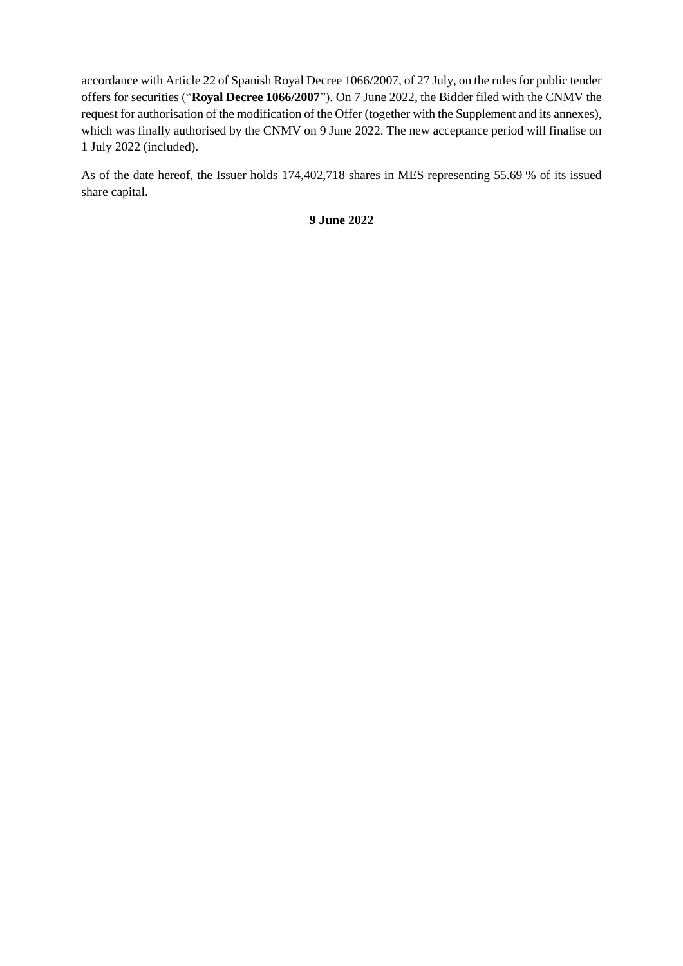accordance with Article 22 of Spanish Royal Decree 1066/2007, of 27 July, on the rules for public tender offers for securities ("**Royal Decree 1066/2007**"). On 7 June 2022, the Bidder filed with the CNMV the request for authorisation of the modification of the Offer (together with the Supplement and its annexes), which was finally authorised by the CNMV on 9 June 2022. The new acceptance period will finalise on 1 July 2022 (included).

As of the date hereof, the Issuer holds 174,402,718 shares in MES representing 55.69 % of its issued share capital.

**9 June 2022**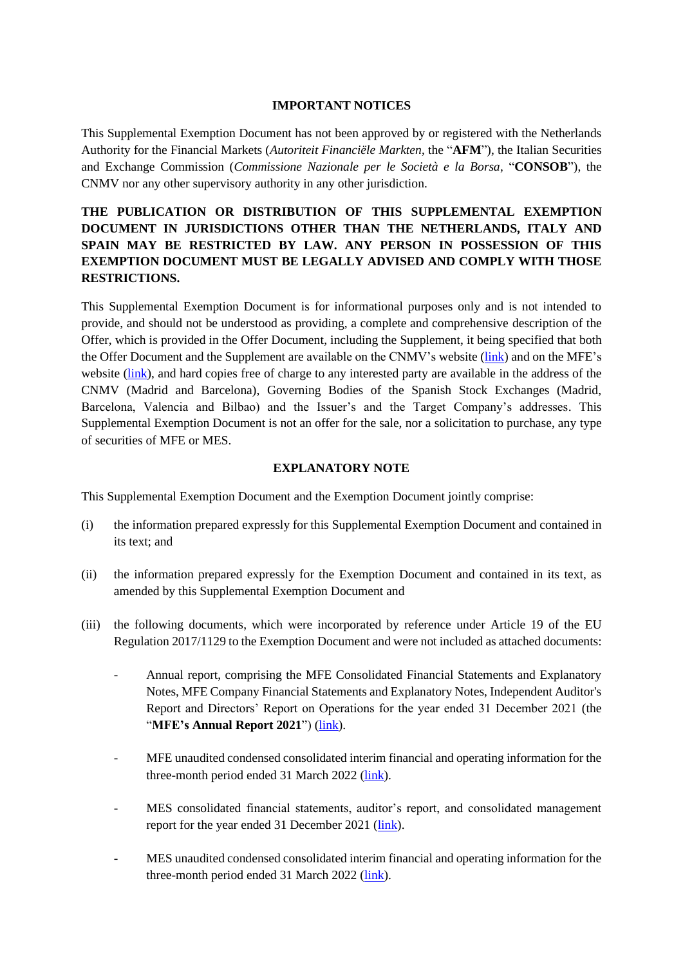#### **IMPORTANT NOTICES**

This Supplemental Exemption Document has not been approved by or registered with the Netherlands Authority for the Financial Markets (*Autoriteit Financiële Markten*, the "**AFM**"), the Italian Securities and Exchange Commission (*Commissione Nazionale per le Società e la Borsa*, "**CONSOB**"), the CNMV nor any other supervisory authority in any other jurisdiction.

# **THE PUBLICATION OR DISTRIBUTION OF THIS SUPPLEMENTAL EXEMPTION DOCUMENT IN JURISDICTIONS OTHER THAN THE NETHERLANDS, ITALY AND SPAIN MAY BE RESTRICTED BY LAW. ANY PERSON IN POSSESSION OF THIS EXEMPTION DOCUMENT MUST BE LEGALLY ADVISED AND COMPLY WITH THOSE RESTRICTIONS.**

This Supplemental Exemption Document is for informational purposes only and is not intended to provide, and should not be understood as providing, a complete and comprehensive description of the Offer, which is provided in the Offer Document, including the Supplement, it being specified that both the Offer Document and the Supplement are available on the CNMV's website [\(link\)](http://www.cnmv.es/) and on the MFE's website [\(link\)](http://www.mfemediaforeurope.com/), and hard copies free of charge to any interested party are available in the address of the CNMV (Madrid and Barcelona), Governing Bodies of the Spanish Stock Exchanges (Madrid, Barcelona, Valencia and Bilbao) and the Issuer's and the Target Company's addresses. This Supplemental Exemption Document is not an offer for the sale, nor a solicitation to purchase, any type of securities of MFE or MES.

#### **EXPLANATORY NOTE**

This Supplemental Exemption Document and the Exemption Document jointly comprise:

- (i) the information prepared expressly for this Supplemental Exemption Document and contained in its text; and
- (ii) the information prepared expressly for the Exemption Document and contained in its text, as amended by this Supplemental Exemption Document and
- (iii) the following documents, which were incorporated by reference under Article 19 of the EU Regulation 2017/1129 to the Exemption Document and were not included as attached documents:
	- Annual report, comprising the MFE Consolidated Financial Statements and Explanatory Notes, MFE Company Financial Statements and Explanatory Notes, Independent Auditor's Report and Directors' Report on Operations for the year ended 31 December 2021 (the "**MFE's Annual Report 2021**") [\(link\)](https://www.mfemediaforeurope.com/binary/documentRepository/93/AR_2021_ENG_1791.pdf).
	- MFE unaudited condensed consolidated interim financial and operating information for the three-month period ended 31 March 2022 [\(link\)](https://www.mfemediaforeurope.com/binary/documentRepository/66/Gruppo%20MFE%20-%20Informazioni%20Finanziarie%20Periodiche%20Aggiuntive%20al%2031%20Marzo%202022_ENG_1821.pdf).
	- MES consolidated financial statements, auditor's report, and consolidated management report for the year ended 31 December 2021 [\(link\)](https://files.mediaset.es/file/10002/2022/04/26/Informe_Grupo_Mediaset_Espana_2021_COMPLETO_6cb7.pdf).
	- MES unaudited condensed consolidated interim financial and operating information for the three-month period ended 31 March 2022 [\(link\)](https://files.mediaset.es/file/10002/2022/05/11/1Q_2022_ENGLISH_CNMV_f29f.pdf).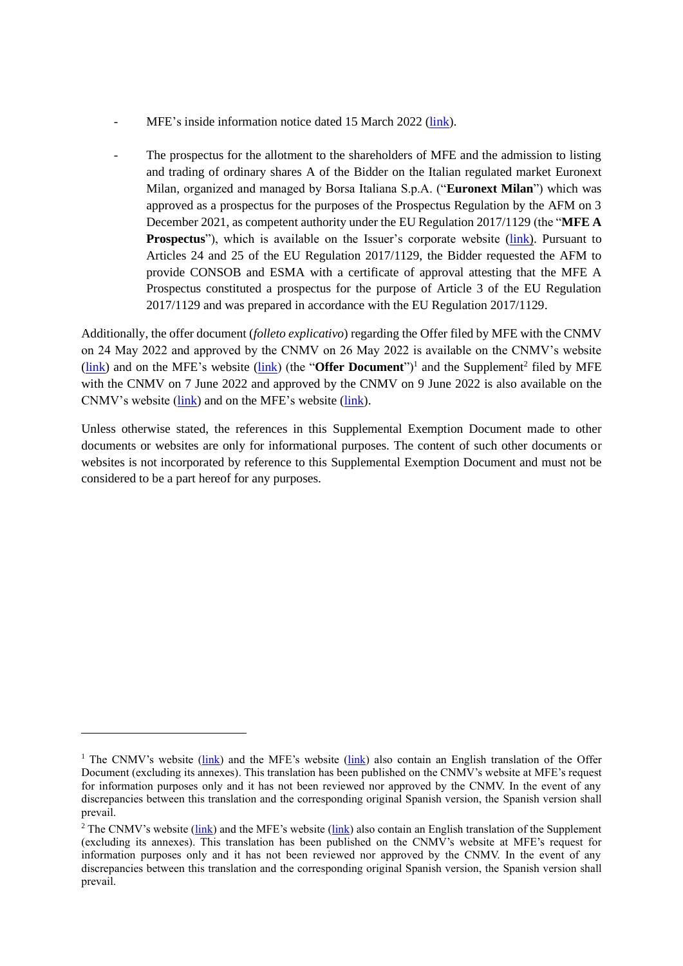- MFE's inside information notice dated 15 March 2022 [\(link\)](https://www.cnmv.es/Portal/verDoc.axd?t=%7be647660e-879f-429f-a774-f1911cfd4e93%7d).
- The prospectus for the allotment to the shareholders of MFE and the admission to listing and trading of ordinary shares A of the Bidder on the Italian regulated market Euronext Milan, organized and managed by Borsa Italiana S.p.A. ("**Euronext Milan**") which was approved as a prospectus for the purposes of the Prospectus Regulation by the AFM on 3 December 2021, as competent authority under the EU Regulation 2017/1129 (the "**MFE A Prospectus**"), which is available on the Issuer's corporate website [\(link\)](http://www.mfemediaforeurope.com/). Pursuant to Articles 24 and 25 of the EU Regulation 2017/1129, the Bidder requested the AFM to provide CONSOB and ESMA with a certificate of approval attesting that the MFE A Prospectus constituted a prospectus for the purpose of Article 3 of the EU Regulation 2017/1129 and was prepared in accordance with the EU Regulation 2017/1129.

Additionally, the offer document (*folleto explicativo*) regarding the Offer filed by MFE with the CNMV on 24 May 2022 and approved by the CNMV on 26 May 2022 is available on the CNMV's website (*link*) and on the MFE's website (*link*) (the "**Offer Document**")<sup>1</sup> and the Supplement<sup>2</sup> filed by MFE with the CNMV on 7 June 2022 and approved by the CNMV on 9 June 2022 is also available on the CNMV's website [\(link\)](http://www.cnmv.es/) and on the MFE's website [\(link\)](http://www.mfemediaforeurope.com/).

Unless otherwise stated, the references in this Supplemental Exemption Document made to other documents or websites are only for informational purposes. The content of such other documents or websites is not incorporated by reference to this Supplemental Exemption Document and must not be considered to be a part hereof for any purposes.

<sup>&</sup>lt;sup>1</sup> The CNMV's website [\(link\)](https://www.mfemediaforeurope.com/en/governance/voluntary-mediaset-espa-a-tender-offer/) and the MFE's website (link) also contain an English translation of the Offer Document (excluding its annexes). This translation has been published on the CNMV's website at MFE's request for information purposes only and it has not been reviewed nor approved by the CNMV. In the event of any discrepancies between this translation and the corresponding original Spanish version, the Spanish version shall prevail.

<sup>&</sup>lt;sup>2</sup> The CNMV's website [\(link\)](https://www.mfemediaforeurope.com/en/governance/voluntary-mediaset-espa-a-tender-offer/) and the MFE's website (link) also contain an English translation of the Supplement (excluding its annexes). This translation has been published on the CNMV's website at MFE's request for information purposes only and it has not been reviewed nor approved by the CNMV. In the event of any discrepancies between this translation and the corresponding original Spanish version, the Spanish version shall prevail.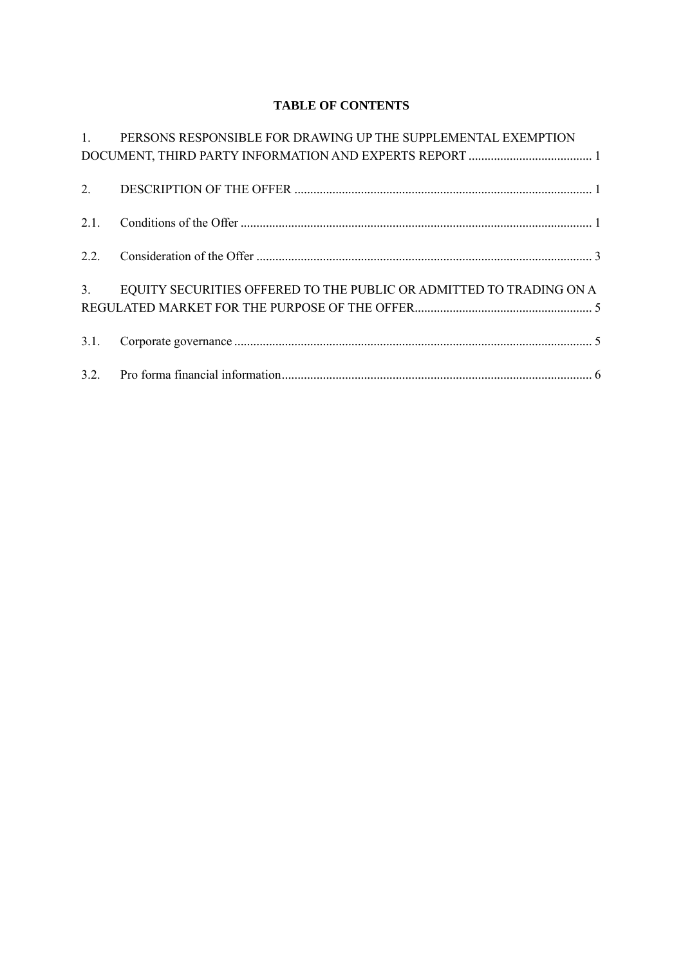# **TABLE OF CONTENTS**

|      | 1. PERSONS RESPONSIBLE FOR DRAWING UP THE SUPPLEMENTAL EXEMPTION    |
|------|---------------------------------------------------------------------|
|      |                                                                     |
|      |                                                                     |
|      |                                                                     |
|      |                                                                     |
| 2.1. |                                                                     |
|      |                                                                     |
|      |                                                                     |
|      |                                                                     |
| 3.   | EQUITY SECURITIES OFFERED TO THE PUBLIC OR ADMITTED TO TRADING ON A |
|      |                                                                     |
|      |                                                                     |
| 3.1. |                                                                     |
|      |                                                                     |
|      |                                                                     |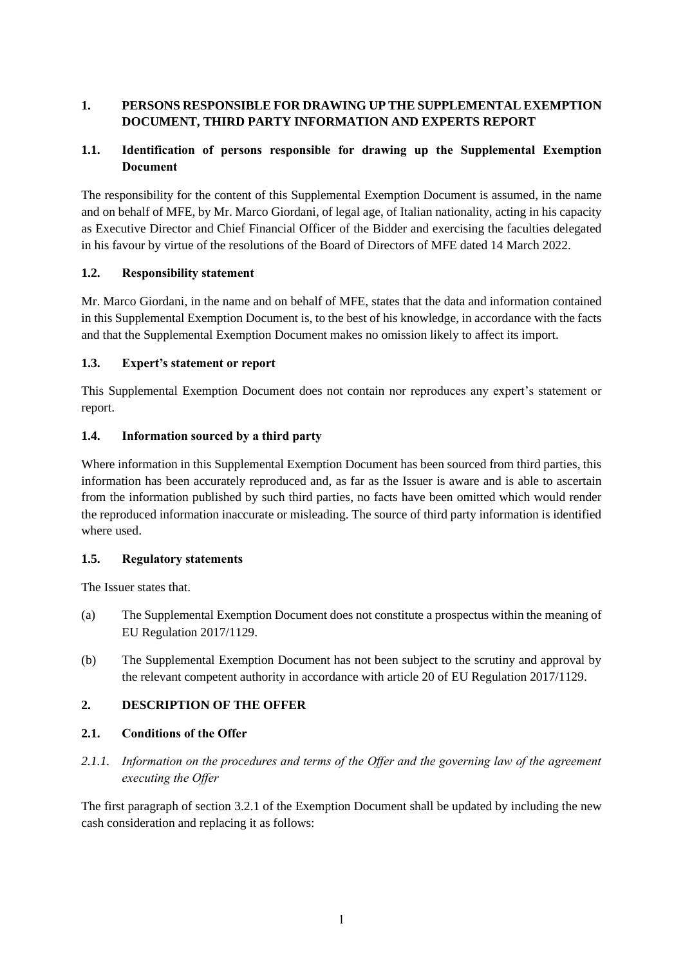# <span id="page-6-0"></span>**1. PERSONS RESPONSIBLE FOR DRAWING UP THE SUPPLEMENTAL EXEMPTION DOCUMENT, THIRD PARTY INFORMATION AND EXPERTS REPORT**

## **1.1. Identification of persons responsible for drawing up the Supplemental Exemption Document**

The responsibility for the content of this Supplemental Exemption Document is assumed, in the name and on behalf of MFE, by Mr. Marco Giordani, of legal age, of Italian nationality, acting in his capacity as Executive Director and Chief Financial Officer of the Bidder and exercising the faculties delegated in his favour by virtue of the resolutions of the Board of Directors of MFE dated 14 March 2022.

### **1.2. Responsibility statement**

Mr. Marco Giordani, in the name and on behalf of MFE, states that the data and information contained in this Supplemental Exemption Document is, to the best of his knowledge, in accordance with the facts and that the Supplemental Exemption Document makes no omission likely to affect its import.

### **1.3. Expert's statement or report**

This Supplemental Exemption Document does not contain nor reproduces any expert's statement or report.

### **1.4. Information sourced by a third party**

Where information in this Supplemental Exemption Document has been sourced from third parties, this information has been accurately reproduced and, as far as the Issuer is aware and is able to ascertain from the information published by such third parties, no facts have been omitted which would render the reproduced information inaccurate or misleading. The source of third party information is identified where used.

### **1.5. Regulatory statements**

The Issuer states that.

- (a) The Supplemental Exemption Document does not constitute a prospectus within the meaning of EU Regulation 2017/1129.
- (b) The Supplemental Exemption Document has not been subject to the scrutiny and approval by the relevant competent authority in accordance with article 20 of EU Regulation 2017/1129.

## <span id="page-6-1"></span>**2. DESCRIPTION OF THE OFFER**

## <span id="page-6-2"></span>**2.1. Conditions of the Offer**

*2.1.1. Information on the procedures and terms of the Offer and the governing law of the agreement executing the Offer*

The first paragraph of section 3.2.1 of the Exemption Document shall be updated by including the new cash consideration and replacing it as follows: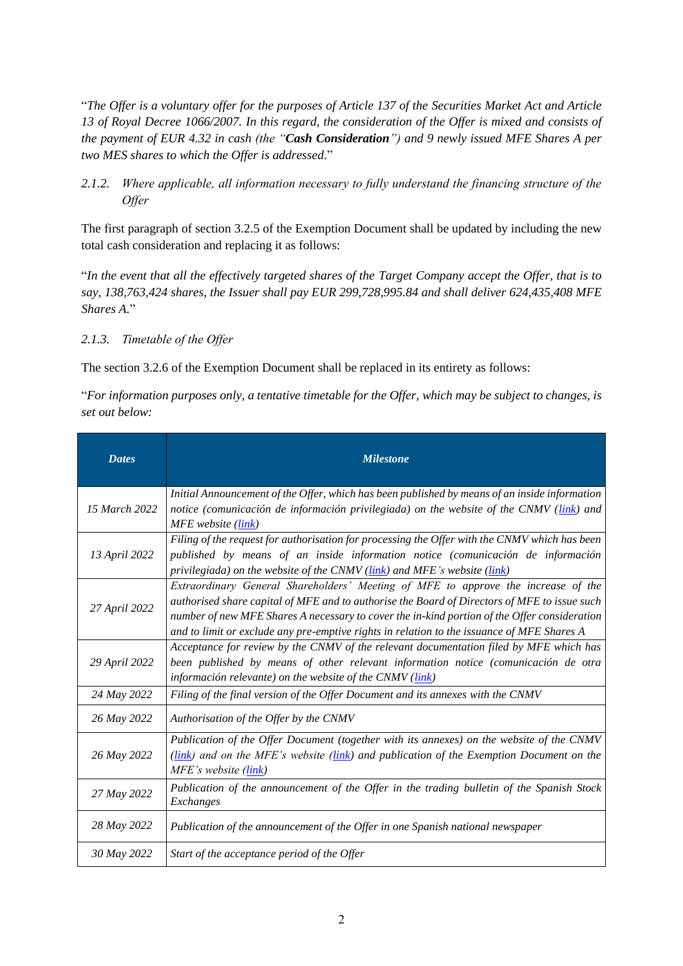"*The Offer is a voluntary offer for the purposes of Article 137 of the Securities Market Act and Article 13 of Royal Decree 1066/2007. In this regard, the consideration of the Offer is mixed and consists of the payment of EUR 4.32 in cash (the "Cash Consideration") and 9 newly issued MFE Shares A per two MES shares to which the Offer is addressed.*"

*2.1.2. Where applicable, all information necessary to fully understand the financing structure of the Offer*

The first paragraph of section 3.2.5 of the Exemption Document shall be updated by including the new total cash consideration and replacing it as follows:

"*In the event that all the effectively targeted shares of the Target Company accept the Offer, that is to say, 138,763,424 shares, the Issuer shall pay EUR 299,728,995.84 and shall deliver 624,435,408 MFE Shares A.*"

### *2.1.3. Timetable of the Offer*

The section 3.2.6 of the Exemption Document shall be replaced in its entirety as follows:

"*For information purposes only, a tentative timetable for the Offer, which may be subject to changes, is set out below:*

| <b>Dates</b>  | <b>Milestone</b>                                                                                                                                                                                                                                                                                                                                                                |
|---------------|---------------------------------------------------------------------------------------------------------------------------------------------------------------------------------------------------------------------------------------------------------------------------------------------------------------------------------------------------------------------------------|
| 15 March 2022 | Initial Announcement of the Offer, which has been published by means of an inside information<br>notice (comunicación de información privilegiada) on the website of the CNMV (link) and<br>MFE website (link)                                                                                                                                                                  |
| 13 April 2022 | Filing of the request for authorisation for processing the Offer with the CNMV which has been<br>published by means of an inside information notice (comunicación de información<br>privilegiada) on the website of the CNMV (link) and MFE's website (link)                                                                                                                    |
| 27 April 2022 | Extraordinary General Shareholders' Meeting of MFE to approve the increase of the<br>authorised share capital of MFE and to authorise the Board of Directors of MFE to issue such<br>number of new MFE Shares A necessary to cover the in-kind portion of the Offer consideration<br>and to limit or exclude any pre-emptive rights in relation to the issuance of MFE Shares A |
| 29 April 2022 | Acceptance for review by the CNMV of the relevant documentation filed by MFE which has<br>been published by means of other relevant information notice (comunicación de otra<br>información relevante) on the website of the CNMV ( <i>link</i> )                                                                                                                               |
| 24 May 2022   | Filing of the final version of the Offer Document and its annexes with the CNMV                                                                                                                                                                                                                                                                                                 |
| 26 May 2022   | Authorisation of the Offer by the CNMV                                                                                                                                                                                                                                                                                                                                          |
| 26 May 2022   | Publication of the Offer Document (together with its annexes) on the website of the CNMV<br>$(link)$ and on the MFE's website ( $\frac{link}{link}$ ) and publication of the Exemption Document on the<br>MFE's website (link)                                                                                                                                                  |
| 27 May 2022   | Publication of the announcement of the Offer in the trading bulletin of the Spanish Stock<br>Exchanges                                                                                                                                                                                                                                                                          |
| 28 May 2022   | Publication of the announcement of the Offer in one Spanish national newspaper                                                                                                                                                                                                                                                                                                  |
| 30 May 2022   | Start of the acceptance period of the Offer                                                                                                                                                                                                                                                                                                                                     |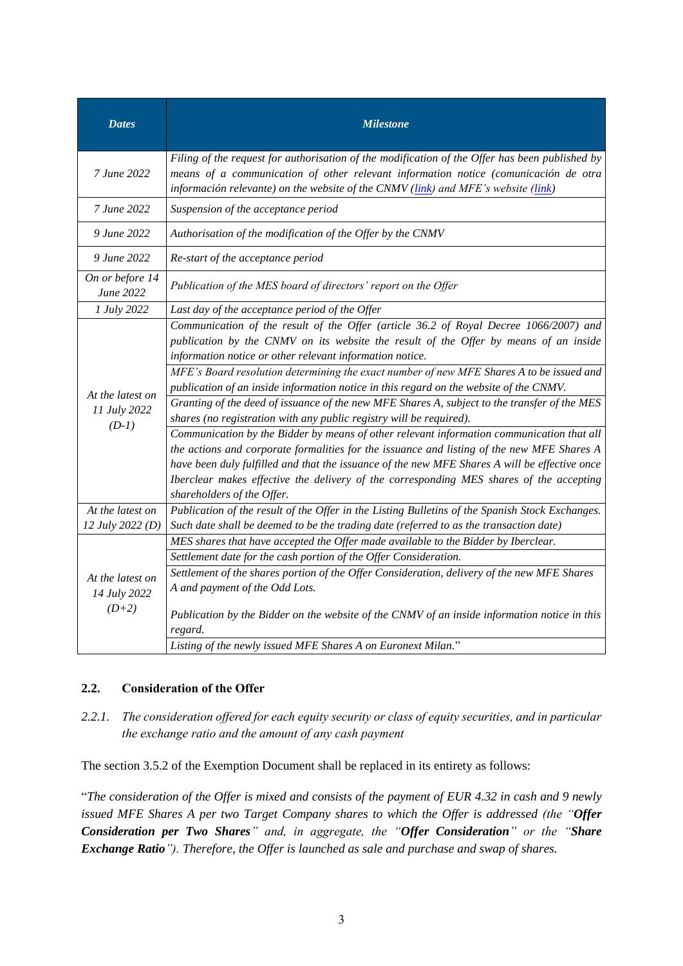| <b>Dates</b>                                                                                                                                                                                                                                                                              | <b>Milestone</b>                                                                                                                                                                                                                                                                                                                                                                                                                                                                                                                                                                                                                                                                                                                                                                                                                                                                                                                                                                                                            |  |  |  |  |  |
|-------------------------------------------------------------------------------------------------------------------------------------------------------------------------------------------------------------------------------------------------------------------------------------------|-----------------------------------------------------------------------------------------------------------------------------------------------------------------------------------------------------------------------------------------------------------------------------------------------------------------------------------------------------------------------------------------------------------------------------------------------------------------------------------------------------------------------------------------------------------------------------------------------------------------------------------------------------------------------------------------------------------------------------------------------------------------------------------------------------------------------------------------------------------------------------------------------------------------------------------------------------------------------------------------------------------------------------|--|--|--|--|--|
| Filing of the request for authorisation of the modification of the Offer has been published by<br>7 June 2022<br>means of a communication of other relevant information notice (comunicación de otra<br>información relevante) on the website of the CNMV (link) and MFE's website (link) |                                                                                                                                                                                                                                                                                                                                                                                                                                                                                                                                                                                                                                                                                                                                                                                                                                                                                                                                                                                                                             |  |  |  |  |  |
| 7 June 2022                                                                                                                                                                                                                                                                               | Suspension of the acceptance period                                                                                                                                                                                                                                                                                                                                                                                                                                                                                                                                                                                                                                                                                                                                                                                                                                                                                                                                                                                         |  |  |  |  |  |
| 9 June 2022                                                                                                                                                                                                                                                                               | Authorisation of the modification of the Offer by the CNMV                                                                                                                                                                                                                                                                                                                                                                                                                                                                                                                                                                                                                                                                                                                                                                                                                                                                                                                                                                  |  |  |  |  |  |
| 9 June 2022<br>Re-start of the acceptance period                                                                                                                                                                                                                                          |                                                                                                                                                                                                                                                                                                                                                                                                                                                                                                                                                                                                                                                                                                                                                                                                                                                                                                                                                                                                                             |  |  |  |  |  |
| On or before 14<br>June 2022                                                                                                                                                                                                                                                              | Publication of the MES board of directors' report on the Offer                                                                                                                                                                                                                                                                                                                                                                                                                                                                                                                                                                                                                                                                                                                                                                                                                                                                                                                                                              |  |  |  |  |  |
| 1 July 2022                                                                                                                                                                                                                                                                               | Last day of the acceptance period of the Offer                                                                                                                                                                                                                                                                                                                                                                                                                                                                                                                                                                                                                                                                                                                                                                                                                                                                                                                                                                              |  |  |  |  |  |
| At the latest on<br>11 July 2022<br>$(D-1)$                                                                                                                                                                                                                                               | Communication of the result of the Offer (article 36.2 of Royal Decree 1066/2007) and<br>publication by the CNMV on its website the result of the Offer by means of an inside<br>information notice or other relevant information notice.<br>MFE's Board resolution determining the exact number of new MFE Shares A to be issued and<br>publication of an inside information notice in this regard on the website of the CNMV.<br>Granting of the deed of issuance of the new MFE Shares A, subject to the transfer of the MES<br>shares (no registration with any public registry will be required).<br>Communication by the Bidder by means of other relevant information communication that all<br>the actions and corporate formalities for the issuance and listing of the new MFE Shares A<br>have been duly fulfilled and that the issuance of the new MFE Shares A will be effective once<br>Iberclear makes effective the delivery of the corresponding MES shares of the accepting<br>shareholders of the Offer. |  |  |  |  |  |
| At the latest on                                                                                                                                                                                                                                                                          | Publication of the result of the Offer in the Listing Bulletins of the Spanish Stock Exchanges.                                                                                                                                                                                                                                                                                                                                                                                                                                                                                                                                                                                                                                                                                                                                                                                                                                                                                                                             |  |  |  |  |  |
| 12 July 2022 (D)                                                                                                                                                                                                                                                                          | Such date shall be deemed to be the trading date (referred to as the transaction date)                                                                                                                                                                                                                                                                                                                                                                                                                                                                                                                                                                                                                                                                                                                                                                                                                                                                                                                                      |  |  |  |  |  |
| At the latest on<br>14 July 2022<br>$(D+2)$                                                                                                                                                                                                                                               | MES shares that have accepted the Offer made available to the Bidder by Iberclear.<br>Settlement date for the cash portion of the Offer Consideration.<br>Settlement of the shares portion of the Offer Consideration, delivery of the new MFE Shares<br>A and payment of the Odd Lots.<br>Publication by the Bidder on the website of the CNMV of an inside information notice in this<br>regard.<br>Listing of the newly issued MFE Shares A on Euronext Milan."                                                                                                                                                                                                                                                                                                                                                                                                                                                                                                                                                          |  |  |  |  |  |

### <span id="page-8-0"></span>**2.2. Consideration of the Offer**

*2.2.1. The consideration offered for each equity security or class of equity securities, and in particular the exchange ratio and the amount of any cash payment*

The section 3.5.2 of the Exemption Document shall be replaced in its entirety as follows:

"*The consideration of the Offer is mixed and consists of the payment of EUR 4.32 in cash and 9 newly issued MFE Shares A per two Target Company shares to which the Offer is addressed (the "Offer Consideration per Two Shares" and, in aggregate, the "Offer Consideration" or the "Share Exchange Ratio"). Therefore, the Offer is launched as sale and purchase and swap of shares.*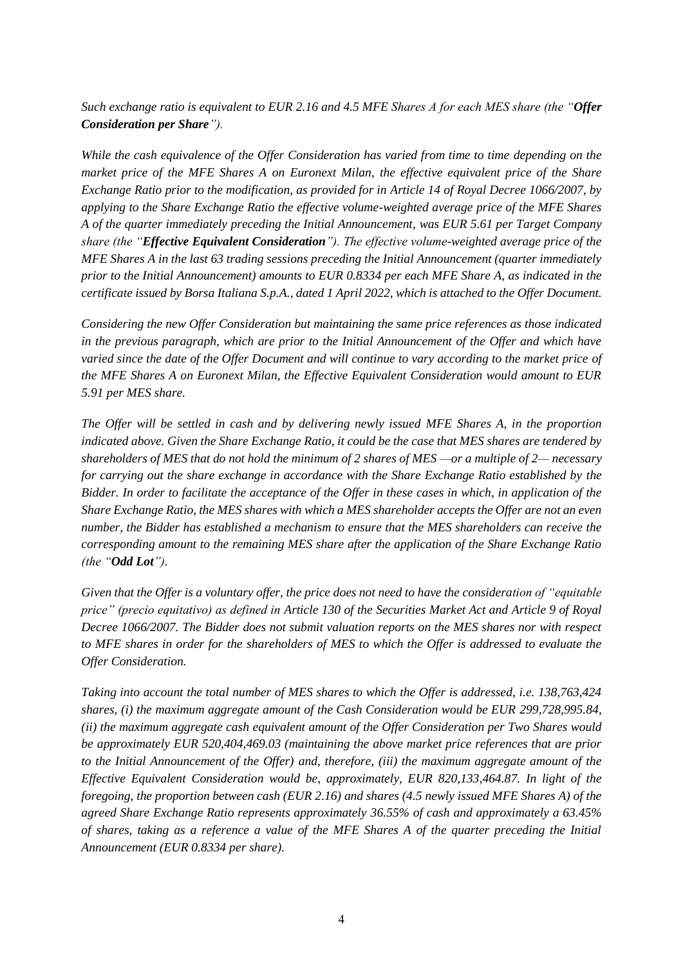*Such exchange ratio is equivalent to EUR 2.16 and 4.5 MFE Shares A for each MES share (the "Offer Consideration per Share").*

*While the cash equivalence of the Offer Consideration has varied from time to time depending on the market price of the MFE Shares A on Euronext Milan, the effective equivalent price of the Share Exchange Ratio prior to the modification, as provided for in Article 14 of Royal Decree 1066/2007, by applying to the Share Exchange Ratio the effective volume-weighted average price of the MFE Shares A of the quarter immediately preceding the Initial Announcement, was EUR 5.61 per Target Company share (the "Effective Equivalent Consideration"). The effective volume-weighted average price of the MFE Shares A in the last 63 trading sessions preceding the Initial Announcement (quarter immediately prior to the Initial Announcement) amounts to EUR 0.8334 per each MFE Share A, as indicated in the certificate issued by Borsa Italiana S.p.A., dated 1 April 2022, which is attached to the Offer Document.* 

*Considering the new Offer Consideration but maintaining the same price references as those indicated in the previous paragraph, which are prior to the Initial Announcement of the Offer and which have varied since the date of the Offer Document and will continue to vary according to the market price of the MFE Shares A on Euronext Milan, the Effective Equivalent Consideration would amount to EUR 5.91 per MES share.*

*The Offer will be settled in cash and by delivering newly issued MFE Shares A, in the proportion indicated above. Given the Share Exchange Ratio, it could be the case that MES shares are tendered by shareholders of MES that do not hold the minimum of 2 shares of MES —or a multiple of 2— necessary for carrying out the share exchange in accordance with the Share Exchange Ratio established by the Bidder. In order to facilitate the acceptance of the Offer in these cases in which, in application of the Share Exchange Ratio, the MES shares with which a MES shareholder accepts the Offer are not an even number, the Bidder has established a mechanism to ensure that the MES shareholders can receive the corresponding amount to the remaining MES share after the application of the Share Exchange Ratio (the "Odd Lot").*

*Given that the Offer is a voluntary offer, the price does not need to have the consideration of "equitable price" (precio equitativo) as defined in Article 130 of the Securities Market Act and Article 9 of Royal Decree 1066/2007. The Bidder does not submit valuation reports on the MES shares nor with respect to MFE shares in order for the shareholders of MES to which the Offer is addressed to evaluate the Offer Consideration.*

*Taking into account the total number of MES shares to which the Offer is addressed, i.e. 138,763,424 shares, (i) the maximum aggregate amount of the Cash Consideration would be EUR 299,728,995.84, (ii) the maximum aggregate cash equivalent amount of the Offer Consideration per Two Shares would be approximately EUR 520,404,469.03 (maintaining the above market price references that are prior to the Initial Announcement of the Offer) and, therefore, (iii) the maximum aggregate amount of the Effective Equivalent Consideration would be, approximately, EUR 820,133,464.87. In light of the foregoing, the proportion between cash (EUR 2.16) and shares (4.5 newly issued MFE Shares A) of the agreed Share Exchange Ratio represents approximately 36.55% of cash and approximately a 63.45% of shares, taking as a reference a value of the MFE Shares A of the quarter preceding the Initial Announcement (EUR 0.8334 per share).*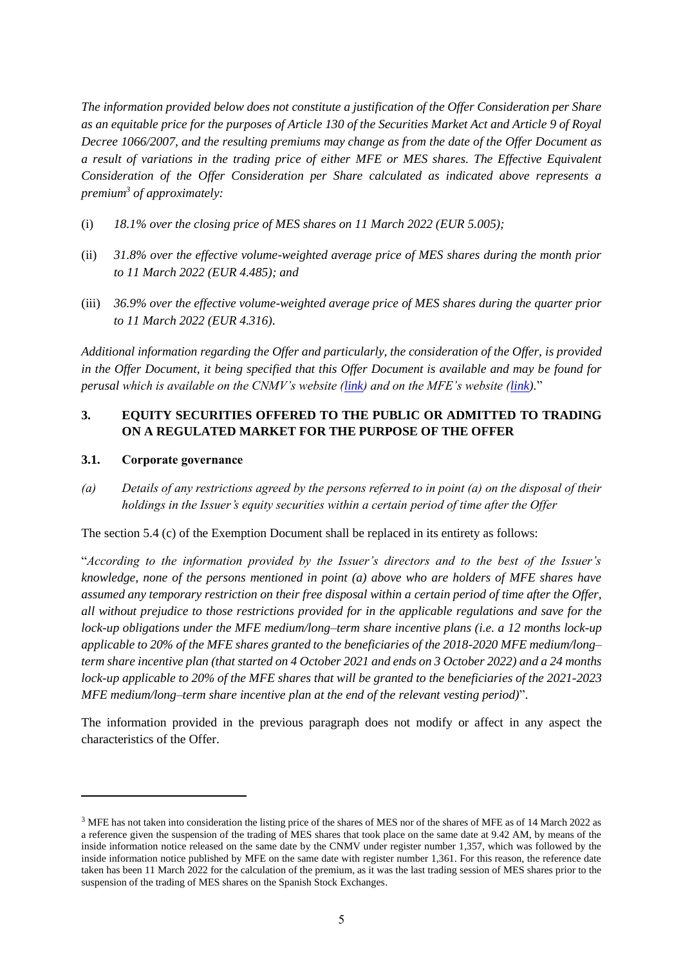*The information provided below does not constitute a justification of the Offer Consideration per Share as an equitable price for the purposes of Article 130 of the Securities Market Act and Article 9 of Royal Decree 1066/2007, and the resulting premiums may change as from the date of the Offer Document as a result of variations in the trading price of either MFE or MES shares. The Effective Equivalent Consideration of the Offer Consideration per Share calculated as indicated above represents a premium<sup>3</sup> of approximately:*

- (i) *18.1% over the closing price of MES shares on 11 March 2022 (EUR 5.005);*
- (ii) *31.8% over the effective volume-weighted average price of MES shares during the month prior to 11 March 2022 (EUR 4.485); and*
- (iii) *36.9% over the effective volume-weighted average price of MES shares during the quarter prior to 11 March 2022 (EUR 4.316).*

*Additional information regarding the Offer and particularly, the consideration of the Offer, is provided in the Offer Document, it being specified that this Offer Document is available and may be found for perusal which is available on the CNMV's website [\(link\)](https://www.cnmv.es/portal/home.aspx) and on the MFE's website [\(link\)](http://www.mfemediaforeurope.com/).*"

# <span id="page-10-0"></span>**3. EQUITY SECURITIES OFFERED TO THE PUBLIC OR ADMITTED TO TRADING ON A REGULATED MARKET FOR THE PURPOSE OF THE OFFER**

### <span id="page-10-1"></span>**3.1. Corporate governance**

*(a) Details of any restrictions agreed by the persons referred to in point (a) on the disposal of their holdings in the Issuer's equity securities within a certain period of time after the Offer*

The section 5.4 (c) of the Exemption Document shall be replaced in its entirety as follows:

"*According to the information provided by the Issuer's directors and to the best of the Issuer's knowledge, none of the persons mentioned in point (a) above who are holders of MFE shares have assumed any temporary restriction on their free disposal within a certain period of time after the Offer, all without prejudice to those restrictions provided for in the applicable regulations and save for the lock-up obligations under the MFE medium/long–term share incentive plans (i.e. a 12 months lock-up applicable to 20% of the MFE shares granted to the beneficiaries of the 2018-2020 MFE medium/long– term share incentive plan (that started on 4 October 2021 and ends on 3 October 2022) and a 24 months lock-up applicable to 20% of the MFE shares that will be granted to the beneficiaries of the 2021-2023 MFE medium/long–term share incentive plan at the end of the relevant vesting period)*".

The information provided in the previous paragraph does not modify or affect in any aspect the characteristics of the Offer.

<sup>&</sup>lt;sup>3</sup> MFE has not taken into consideration the listing price of the shares of MES nor of the shares of MFE as of 14 March 2022 as a reference given the suspension of the trading of MES shares that took place on the same date at 9.42 AM, by means of the inside information notice released on the same date by the CNMV under register number 1,357, which was followed by the inside information notice published by MFE on the same date with register number 1,361. For this reason, the reference date taken has been 11 March 2022 for the calculation of the premium, as it was the last trading session of MES shares prior to the suspension of the trading of MES shares on the Spanish Stock Exchanges.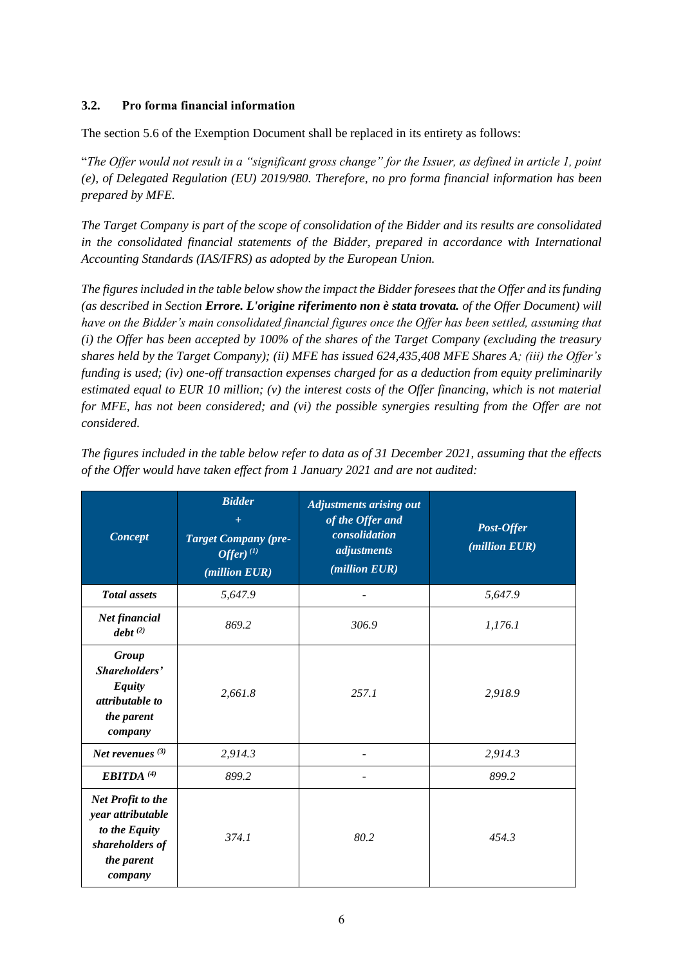### <span id="page-11-0"></span>**3.2. Pro forma financial information**

The section 5.6 of the Exemption Document shall be replaced in its entirety as follows:

"*The Offer would not result in a "significant gross change" for the Issuer, as defined in article 1, point (e), of Delegated Regulation (EU) 2019/980. Therefore, no pro forma financial information has been prepared by MFE.*

*The Target Company is part of the scope of consolidation of the Bidder and its results are consolidated in the consolidated financial statements of the Bidder, prepared in accordance with International Accounting Standards (IAS/IFRS) as adopted by the European Union.*

*The figures included in the table below show the impact the Bidder foresees that the Offer and its funding (as described in Section Errore. L'origine riferimento non è stata trovata. of the Offer Document) will have on the Bidder's main consolidated financial figures once the Offer has been settled, assuming that (i) the Offer has been accepted by 100% of the shares of the Target Company (excluding the treasury shares held by the Target Company); (ii) MFE has issued 624,435,408 MFE Shares A; (iii) the Offer's funding is used; (iv) one-off transaction expenses charged for as a deduction from equity preliminarily estimated equal to EUR 10 million; (v) the interest costs of the Offer financing, which is not material for MFE, has not been considered; and (vi) the possible synergies resulting from the Offer are not considered.*

| Concept                                                                                             | <b>Bidder</b><br>$+$<br><b>Target Company (pre-</b><br>$\overline{O}$ ffer $)$ <sup>(1)</sup><br>(million EUR) | <b>Adjustments arising out</b><br>of the Offer and<br>consolidation<br>adjustments<br>(million EUR) | Post-Offer<br>(million EUR) |
|-----------------------------------------------------------------------------------------------------|----------------------------------------------------------------------------------------------------------------|-----------------------------------------------------------------------------------------------------|-----------------------------|
| <b>Total</b> assets                                                                                 | 5,647.9                                                                                                        |                                                                                                     | 5,647.9                     |
| Net financial<br>debt <sup>(2)</sup>                                                                | 869.2                                                                                                          | 306.9                                                                                               | 1,176.1                     |
| Group<br>Shareholders'<br><b>Equity</b><br>attributable to<br>the parent<br>company                 | 2,661.8                                                                                                        | 257.1                                                                                               | 2,918.9                     |
| Net revenues $(3)$                                                                                  | 2,914.3                                                                                                        |                                                                                                     | 2,914.3                     |
| <b>EBITDA</b> <sup>(4)</sup>                                                                        | 899.2                                                                                                          |                                                                                                     | 899.2                       |
| Net Profit to the<br>year attributable<br>to the Equity<br>shareholders of<br>the parent<br>company | 374.1                                                                                                          | 80.2                                                                                                | 454.3                       |

*The figures included in the table below refer to data as of 31 December 2021, assuming that the effects of the Offer would have taken effect from 1 January 2021 and are not audited:*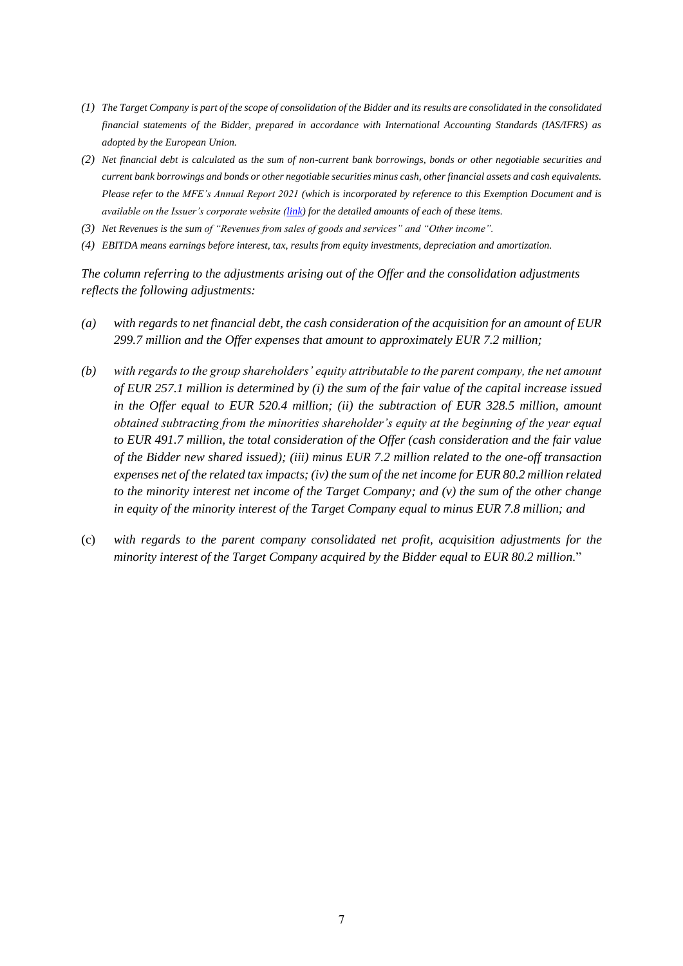- *(1) The Target Company is part of the scope of consolidation of the Bidder and its results are consolidated in the consolidated financial statements of the Bidder, prepared in accordance with International Accounting Standards (IAS/IFRS) as adopted by the European Union.*
- *(2) Net financial debt is calculated as the sum of non-current bank borrowings, bonds or other negotiable securities and current bank borrowings and bonds or other negotiable securities minus cash, other financial assets and cash equivalents. Please refer to the MFE's Annual Report 2021 (which is incorporated by reference to this Exemption Document and is available on the Issuer's corporate website [\(link\)](https://www.mfemediaforeurope.com/binary/documentRepository/93/AR_2021_ENG_1791.pdf) for the detailed amounts of each of these items.*
- *(3) Net Revenues is the sum of "Revenues from sales of goods and services" and "Other income".*
- *(4) EBITDA means earnings before interest, tax, results from equity investments, depreciation and amortization.*

*The column referring to the adjustments arising out of the Offer and the consolidation adjustments reflects the following adjustments:*

- *(a) with regards to net financial debt, the cash consideration of the acquisition for an amount of EUR 299.7 million and the Offer expenses that amount to approximately EUR 7.2 million;*
- *(b) with regards to the group shareholders' equity attributable to the parent company, the net amount of EUR 257.1 million is determined by (i) the sum of the fair value of the capital increase issued in the Offer equal to EUR 520.4 million; (ii) the subtraction of EUR 328.5 million, amount obtained subtracting from the minorities shareholder's equity at the beginning of the year equal to EUR 491.7 million, the total consideration of the Offer (cash consideration and the fair value of the Bidder new shared issued); (iii) minus EUR 7.2 million related to the one-off transaction expenses net of the related tax impacts; (iv) the sum of the net income for EUR 80.2 million related to the minority interest net income of the Target Company; and (v) the sum of the other change in equity of the minority interest of the Target Company equal to minus EUR 7.8 million; and*
- (c) *with regards to the parent company consolidated net profit, acquisition adjustments for the minority interest of the Target Company acquired by the Bidder equal to EUR 80.2 million.*"